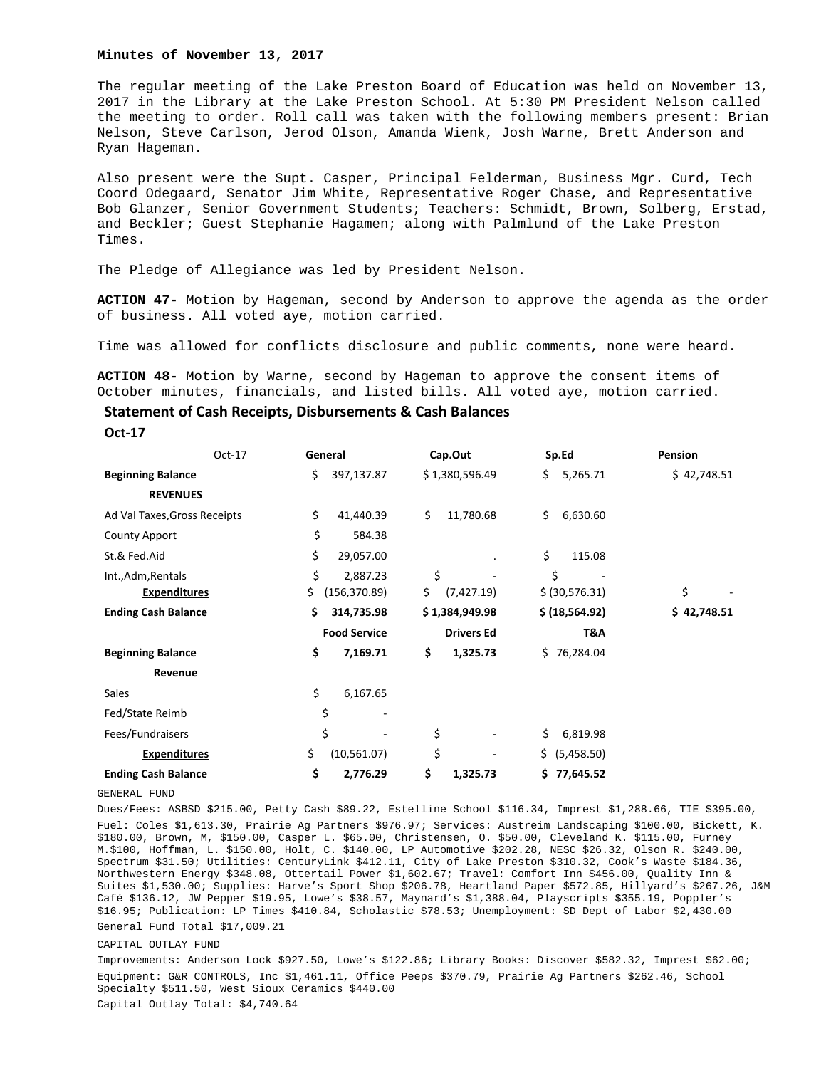#### **Minutes of November 13, 2017**

The regular meeting of the Lake Preston Board of Education was held on November 13, 2017 in the Library at the Lake Preston School. At 5:30 PM President Nelson called the meeting to order. Roll call was taken with the following members present: Brian Nelson, Steve Carlson, Jerod Olson, Amanda Wienk, Josh Warne, Brett Anderson and Ryan Hageman.

Also present were the Supt. Casper, Principal Felderman, Business Mgr. Curd, Tech Coord Odegaard, Senator Jim White, Representative Roger Chase, and Representative Bob Glanzer, Senior Government Students; Teachers: Schmidt, Brown, Solberg, Erstad, and Beckler; Guest Stephanie Hagamen; along with Palmlund of the Lake Preston Times.

The Pledge of Allegiance was led by President Nelson.

**ACTION 47-** Motion by Hageman, second by Anderson to approve the agenda as the order of business. All voted aye, motion carried.

Time was allowed for conflicts disclosure and public comments, none were heard.

**ACTION 48-** Motion by Warne, second by Hageman to approve the consent items of October minutes, financials, and listed bills. All voted aye, motion carried.

# **Statement of Cash Receipts, Disbursements & Cash Balances**

**Oct‐17** 

|                              | Oct-17 | General             | Cap.Out           | Sp.Ed           | Pension     |
|------------------------------|--------|---------------------|-------------------|-----------------|-------------|
| <b>Beginning Balance</b>     |        | 397,137.87<br>\$    | \$1,380,596.49    | \$.<br>5,265.71 | \$42,748.51 |
| <b>REVENUES</b>              |        |                     |                   |                 |             |
| Ad Val Taxes, Gross Receipts |        | \$<br>41,440.39     | \$<br>11,780.68   | \$<br>6,630.60  |             |
| <b>County Apport</b>         |        | \$<br>584.38        |                   |                 |             |
| St.& Fed.Aid                 |        | \$<br>29,057.00     |                   | \$<br>115.08    |             |
| Int., Adm, Rentals           |        | \$<br>2,887.23      | \$                | \$              |             |
| <b>Expenditures</b>          | \$     | (156, 370.89)       | \$.<br>(7,427.19) | \$ (30,576.31)  | \$          |
| <b>Ending Cash Balance</b>   |        | \$<br>314,735.98    | \$1,384,949.98    | \$ (18, 564.92) | \$42,748.51 |
|                              |        | <b>Food Service</b> | <b>Drivers Ed</b> | T&A             |             |
| <b>Beginning Balance</b>     |        | \$<br>7,169.71      | \$<br>1,325.73    | \$76,284.04     |             |
| Revenue                      |        |                     |                   |                 |             |
| Sales                        |        | \$<br>6,167.65      |                   |                 |             |
| Fed/State Reimb              |        | \$                  |                   |                 |             |
| Fees/Fundraisers             |        | \$                  | \$                | \$<br>6,819.98  |             |
| <b>Expenditures</b>          |        | \$<br>(10,561.07)   | \$                | \$ (5,458.50)   |             |
| <b>Ending Cash Balance</b>   |        | \$<br>2,776.29      | \$<br>1,325.73    | \$77,645.52     |             |

GENERAL FUND

Dues/Fees: ASBSD \$215.00, Petty Cash \$89.22, Estelline School \$116.34, Imprest \$1,288.66, TIE \$395.00, Fuel: Coles \$1,613.30, Prairie Ag Partners \$976.97; Services: Austreim Landscaping \$100.00, Bickett, K. \$180.00, Brown, M, \$150.00, Casper L. \$65.00, Christensen, O. \$50.00, Cleveland K. \$115.00, Furney M.\$100, Hoffman, L. \$150.00, Holt, C. \$140.00, LP Automotive \$202.28, NESC \$26.32, Olson R. \$240.00, Spectrum \$31.50; Utilities: CenturyLink \$412.11, City of Lake Preston \$310.32, Cook's Waste \$184.36, Northwestern Energy \$348.08, Ottertail Power \$1,602.67; Travel: Comfort Inn \$456.00, Quality Inn & Suites \$1,530.00; Supplies: Harve's Sport Shop \$206.78, Heartland Paper \$572.85, Hillyard's \$267.26, J&M Café \$136.12, JW Pepper \$19.95, Lowe's \$38.57, Maynard's \$1,388.04, Playscripts \$355.19, Poppler's \$16.95; Publication: LP Times \$410.84, Scholastic \$78.53; Unemployment: SD Dept of Labor \$2,430.00 General Fund Total \$17,009.21

### CAPITAL OUTLAY FUND

Improvements: Anderson Lock \$927.50, Lowe's \$122.86; Library Books: Discover \$582.32, Imprest \$62.00; Equipment: G&R CONTROLS, Inc \$1,461.11, Office Peeps \$370.79, Prairie Ag Partners \$262.46, School Specialty \$511.50, West Sioux Ceramics \$440.00 Capital Outlay Total: \$4,740.64